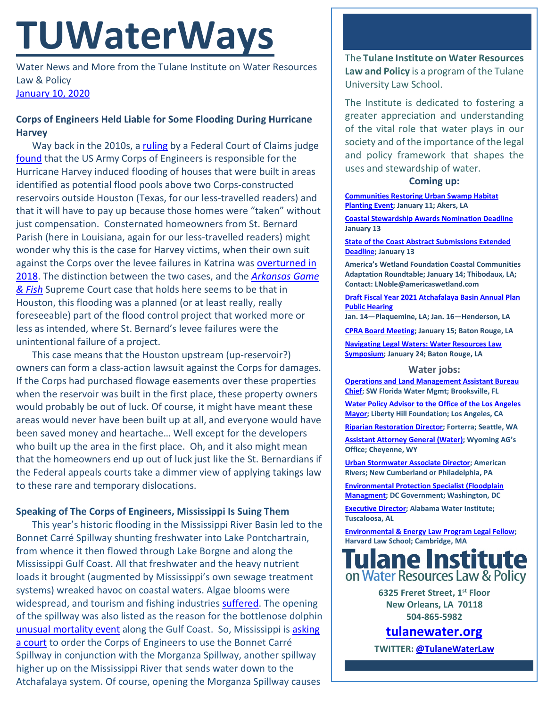# **TUWaterWays**

Water News and More from the Tulane Institute on Water Resources Law & Policy [January 10, 2020](https://thisdayinwaterhistory.wordpress.com/)

# **Corps of Engineers Held Liable for Some Flooding During Hurricane Harvey**

Way back in the 2010s, a [ruling](https://www.eenews.net/assets/2019/12/18/document_gw_01.pdf) by a Federal Court of Claims judge [found](https://www.nola.com/news/courts/article_93fbe3e0-21ad-11ea-bca8-c73cab49fb22.html) that the US Army Corps of Engineers is responsible for the Hurricane Harvey induced flooding of houses that were built in areas identified as potential flood pools above two Corps-constructed reservoirs outside Houston (Texas, for our less-travelled readers) and that it will have to pay up because those homes were "taken" without just compensation. Consternated homeowners from St. Bernard Parish (here in Louisiana, again for our less-travelled readers) might wonder why this is the case for Harvey victims, when their own suit against the Corps over the levee failures in Katrina was overturned in [2018.](https://law.justia.com/cases/federal/appellate-courts/cafc/16-2301/16-2301-2018-04-20.html) The distinction between the two cases, and the *[Arkansas Game](https://supreme.justia.com/cases/federal/us/568/23/)  [& Fish](https://supreme.justia.com/cases/federal/us/568/23/)* Supreme Court case that holds here seems to be that in Houston, this flooding was a planned (or at least really, really foreseeable) part of the flood control project that worked more or less as intended, where St. Bernard's levee failures were the unintentional failure of a project.

This case means that the Houston upstream (up-reservoir?) owners can form a class-action lawsuit against the Corps for damages. If the Corps had purchased flowage easements over these properties when the reservoir was built in the first place, these property owners would probably be out of luck. Of course, it might have meant these areas would never have been built up at all, and everyone would have been saved money and heartache… Well except for the developers who built up the area in the first place. Oh, and it also might mean that the homeowners end up out of luck just like the St. Bernardians if the Federal appeals courts take a dimmer view of applying takings law to these rare and temporary dislocations.

## **Speaking of The Corps of Engineers, Mississippi Is Suing Them**

This year's historic flooding in the Mississippi River Basin led to the Bonnet Carré Spillway shunting freshwater into Lake Pontchartrain, from whence it then flowed through Lake Borgne and along the Mississippi Gulf Coast. All that freshwater and the heavy nutrient loads it brought (augmented by Mississippi's own sewage treatment systems) wreaked havoc on coastal waters. Algae blooms were widespread, and tourism and fishing industries [suffered.](https://www.wlox.com/2019/12/30/mississippi-sues-army-corps-mississippi-river-comm-over-spillway-openings/) The opening of the spillway was also listed as the reason for the bottlenose dolphin [unusual mortality event](https://www.fisheries.noaa.gov/national/marine-mammal-protection/marine-mammal-unusual-mortality-events) along the Gulf Coast. So, Mississippi is asking [a court](http://webpubcontent.raycommedia.com/wlox/WLOX%202020%20Bonnet%20Carre%20SOS%20Suit.pdf) to order the Corps of Engineers to use the Bonnet Carré Spillway in conjunction with the Morganza Spillway, another spillway higher up on the Mississippi River that sends water down to the Atchafalaya system. Of course, opening the Morganza Spillway causes

The **Tulane Institute on Water Resources Law and Policy** is a program of the Tulane University Law School.

The Institute is dedicated to fostering a greater appreciation and understanding of the vital role that water plays in our society and of the importance of the legal and policy framework that shapes the uses and stewardship of water.

#### **Coming up:**

**[Communities Restoring Urban Swamp Habitat](https://www.eventbrite.com/e/crcls-communities-restoring-urban-swamp-habitat-volunteer-planting-event-january-11th-2020-tickets-70074403427)  [Planting Event;](https://www.eventbrite.com/e/crcls-communities-restoring-urban-swamp-habitat-volunteer-planting-event-january-11th-2020-tickets-70074403427) January 11; Akers, LA**

**[Coastal Stewardship Awards Nomination Deadline](https://www.crcl.org/coastal-stewardship-awards) January 13**

**[State of the Coast Abstract Submissions Extended](https://conference.ifas.ufl.edu/soc/call_abstracts.html)  [Deadline;](https://conference.ifas.ufl.edu/soc/call_abstracts.html) January 13**

**America's Wetland Foundation Coastal Communities Adaptation Roundtable; January 14; Thibodaux, LA; Contact: LNoble@americaswetland.com**

**[Draft Fiscal Year 2021 Atchafalaya Basin Annual Plan](http://coastal.la.gov/calendar/)  [Public Hearing](http://coastal.la.gov/calendar/)**

**Jan. 14—Plaquemine, LA; Jan. 16—Henderson, LA**

**[CPRA Board Meeting;](http://coastal.la.gov/calendar/) January 15; Baton Rouge, LA**

**[Navigating Legal Waters: Water Resources Law](https://www.law.lsu.edu/jelrsymposium)  [Symposium;](https://www.law.lsu.edu/jelrsymposium) January 24; Baton Rouge, LA**

#### **Water jobs:**

**Operations and [Land Management Assistant Bureau](https://recruiting.ultipro.com/SOU1043SWF/JobBoard/cd4cc6be-5e48-4f5e-b258-70fc16d0d484/OpportunityDetail?opportunityId=c17df2d9-4bcf-4cd2-ba8e-4e6ef7f6a262)  [Chief;](https://recruiting.ultipro.com/SOU1043SWF/JobBoard/cd4cc6be-5e48-4f5e-b258-70fc16d0d484/OpportunityDetail?opportunityId=c17df2d9-4bcf-4cd2-ba8e-4e6ef7f6a262) SW Florida Water Mgmt; Brooksville, FL**

**[Water Policy Advisor to the Office of the Los Angeles](https://www.joshswaterjobs.com/jobs/18992)  [Mayor;](https://www.joshswaterjobs.com/jobs/18992) Liberty Hill Foundation; Los Angeles, CA**

**[Riparian Restoration Director;](https://forterra.applytojob.com/apply/6Lu5Prqyhs/Riparian-Restoration-Director) Forterra; Seattle, WA**

**[Assistant Attorney General \(Water\);](https://www.joshswaterjobs.com/jobs/19042) Wyoming AG's Office; Cheyenne, WY**

**[Urban Stormwater Associate Director;](https://www.joshswaterjobs.com/jobs/19360) American Rivers; New Cumberland or Philadelphia, PA**

**[Environmental Protection Specialist](https://www.joshswaterjobs.com/jobs/19358) (Floodplain [Managment;](https://www.joshswaterjobs.com/jobs/19358) DC Government; Washington, DC**

**[Executive Director;](http://staffjobs.ua.edu/cw/en-us/job/510434/executive-director-alabama-water-institute-510434) Alabama Water Institute; Tuscaloosa, AL**

**[Environmental & Energy Law Program Legal Fellow;](https://eelp.law.harvard.edu/2019/11/eelp-legal-fellow-position-open/) Harvard Law School; Cambridge, MA**



**6325 Freret Street, 1st Floor New Orleans, LA 70118 504-865-5982** 

**tulanewater.org**

**TWITTER[: @TulaneWaterLaw](http://www.twitter.com/TulaneWaterLaw)**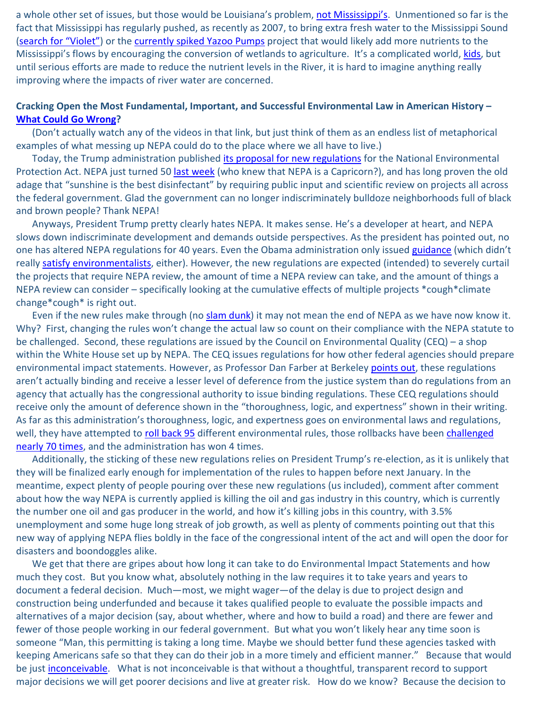a whole other set of issues, but those would be Louisiana's problem, [not Mississippi's.](https://www.youtube.com/watch?v=lqqq-sU2SQo) Unmentioned so far is the fact that Mississippi has regularly pushed, as recently as 2007, to bring extra fresh water to the Mississippi Sound [\(search for "Violet"\)](https://www.congress.gov/110/plaws/publ114/PLAW-110publ114.pdf) or the [currently spiked Yazoo Pumps](https://www.eenews.net/stories/1060205609) project that would likely add more nutrients to the Mississippi's flows by encouraging the conversion of wetlands to agriculture. It's a complicated world, [kids,](https://www.youtube.com/watch?v=HnsHpPNltBw) but until serious efforts are made to reduce the nutrient levels in the River, it is hard to imagine anything really improving where the impacts of river water are concerned.

### **Cracking Open the Most Fundamental, Important, and Successful Environmental Law in American History – [What Could Go Wrong?](https://www.reddit.com/r/Whatcouldgowrong/)**

(Don't actually watch any of the videos in that link, but just think of them as an endless list of metaphorical examples of what messing up NEPA could do to the place where we all have to live.)

Today, the Trump administration published [its proposal for new regulations](https://www.federalregister.gov/documents/2020/01/10/2019-28106/update-to-the-regulations-implementing-the-procedural-provisions-of-the-national-environmental) for the National Environmental Protection Act. NEPA just turned 50 [last week](https://legal-planet.org/2020/01/01/commemorating-the-national-environmental-policy-acts-50th-anniversary/) (who knew that NEPA is a Capricorn?), and has long proven the old adage that "sunshine is the best disinfectant" by requiring public input and scientific review on projects all across the federal government. Glad the government can no longer indiscriminately bulldoze neighborhoods full of black and brown people? Thank NEPA!

Anyways, President Trump pretty clearly hates NEPA. It makes sense. He's a developer at heart, and NEPA slows down indiscriminate development and demands outside perspectives. As the president has pointed out, no one has altered NEPA regulations for 40 years. Even the Obama administration only issued [guidance](https://obamawhitehouse.archives.gov/sites/whitehouse.gov/files/documents/nepa_final_ghg_guidance.pdf) (which didn't really [satisfy environmentalists,](https://legal-planet.org/2016/08/02/the-new-nepa-guidance/) either). However, the new regulations are expected (intended) to severely curtail the projects that require NEPA review, the amount of time a NEPA review can take, and the amount of things a NEPA review can consider – specifically looking at the cumulative effects of multiple projects \*cough\*climate change\*cough\* is right out.

Even if the new rules make through (no [slam dunk\)](https://www.youtube.com/watch?v=ujGSt-93qZo) it may not mean the end of NEPA as we have now know it. Why? First, changing the rules won't change the actual law so count on their compliance with the NEPA statute to be challenged. Second, these regulations are issued by the Council on Environmental Quality (CEQ) – a shop within the White House set up by NEPA. The CEQ issues regulations for how other federal agencies should prepare environmental impact statements. However, as Professor Dan Farber at Berkeley [points out,](https://legal-planet.org/2020/01/06/a-paper-tiger/) these regulations aren't actually binding and receive a lesser level of deference from the justice system than do regulations from an agency that actually has the congressional authority to issue binding regulations. These CEQ regulations should receive only the amount of deference shown in the "thoroughness, logic, and expertness" shown in their writing. As far as this administration's thoroughness, logic, and expertness goes on environmental laws and regulations, well, they have attempted to [roll back 95](https://www.nytimes.com/interactive/2019/climate/trump-environment-rollbacks.html) different environmental rules, those rollbacks have been challenged [nearly 70 times,](https://policyintegrity.org/trump-court-roundup) and the administration has won 4 times.

Additionally, the sticking of these new regulations relies on President Trump's re-election, as it is unlikely that they will be finalized early enough for implementation of the rules to happen before next January. In the meantime, expect plenty of people pouring over these new regulations (us included), comment after comment about how the way NEPA is currently applied is killing the oil and gas industry in this country, which is currently the number one oil and gas producer in the world, and how it's killing jobs in this country, with 3.5% unemployment and some huge long streak of job growth, as well as plenty of comments pointing out that this new way of applying NEPA flies boldly in the face of the congressional intent of the act and will open the door for disasters and boondoggles alike.

We get that there are gripes about how long it can take to do Environmental Impact Statements and how much they cost. But you know what, absolutely nothing in the law requires it to take years and years to document a federal decision. Much—most, we might wager—of the delay is due to project design and construction being underfunded and because it takes qualified people to evaluate the possible impacts and alternatives of a major decision (say, about whether, where and how to build a road) and there are fewer and fewer of those people working in our federal government. But what you won't likely hear any time soon is someone "Man, this permitting is taking a long time. Maybe we should better fund these agencies tasked with keeping Americans safe so that they can do their job in a more timely and efficient manner." Because that would be just [inconceivable.](https://www.youtube.com/watch?v=Z3sLhnDJJn0) What is not inconceivable is that without a thoughtful, transparent record to support major decisions we will get poorer decisions and live at greater risk. How do we know? Because the decision to